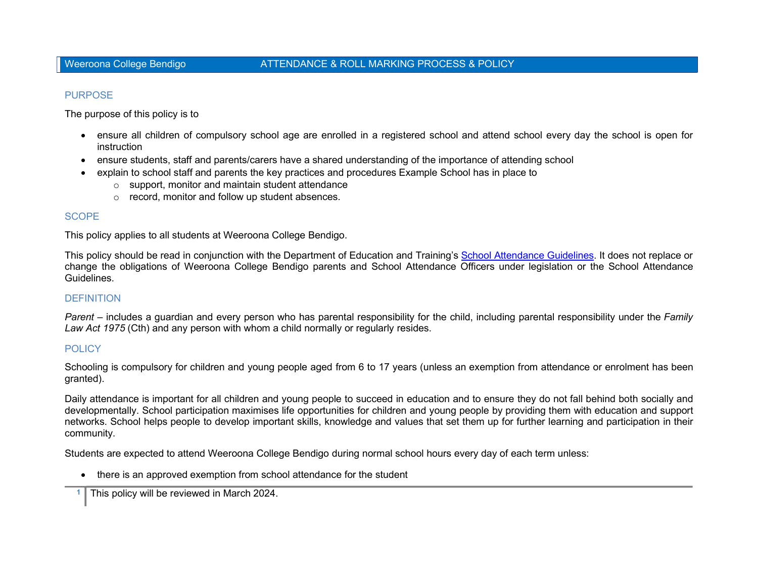# PURPOSE

The purpose of this policy is to

- ensure all children of compulsory school age are enrolled in a registered school and attend school every day the school is open for instruction
- ensure students, staff and parents/carers have a shared understanding of the importance of attending school
- explain to school staff and parents the key practices and procedures Example School has in place to
	- o support, monitor and maintain student attendance
	- o record, monitor and follow up student absences.

# **SCOPE**

This policy applies to all students at Weeroona College Bendigo.

This policy should be read in conjunction with the Department of Education and Training's School Attendance Guidelines. It does not replace or change the obligations of Weeroona College Bendigo parents and School Attendance Officers under legislation or the School Attendance Guidelines.

# **DEFINITION**

Parent – includes a guardian and every person who has parental responsibility for the child, including parental responsibility under the Family Law Act 1975 (Cth) and any person with whom a child normally or regularly resides.

# **POLICY**

Schooling is compulsory for children and young people aged from 6 to 17 years (unless an exemption from attendance or enrolment has been granted).

Daily attendance is important for all children and young people to succeed in education and to ensure they do not fall behind both socially and developmentally. School participation maximises life opportunities for children and young people by providing them with education and support networks. School helps people to develop important skills, knowledge and values that set them up for further learning and participation in their community.

Students are expected to attend Weeroona College Bendigo during normal school hours every day of each term unless:

there is an approved exemption from school attendance for the student

1 This policy will be reviewed in March 2024.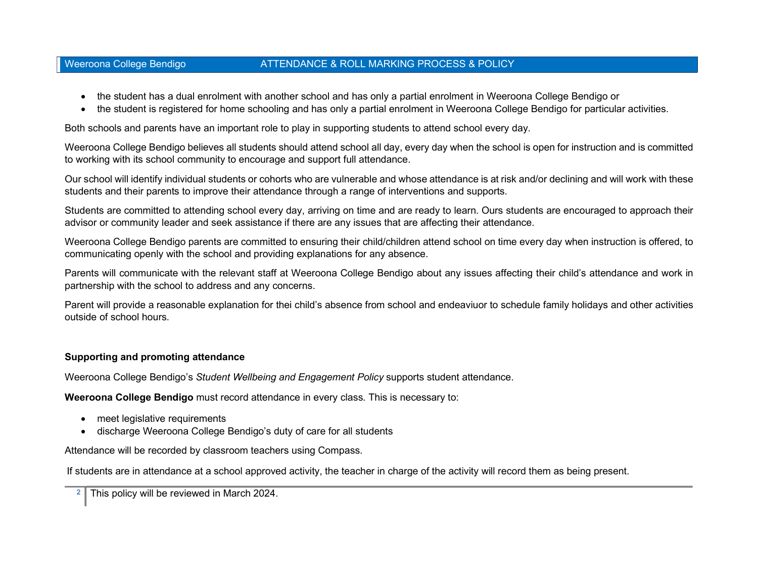# Weeroona College Bendigo **ATTENDANCE & ROLL MARKING PROCESS & POLICY**

- the student has a dual enrolment with another school and has only a partial enrolment in Weeroona College Bendigo or
- the student is registered for home schooling and has only a partial enrolment in Weeroona College Bendigo for particular activities.

Both schools and parents have an important role to play in supporting students to attend school every day.

Weeroona College Bendigo believes all students should attend school all day, every day when the school is open for instruction and is committed to working with its school community to encourage and support full attendance.

Our school will identify individual students or cohorts who are vulnerable and whose attendance is at risk and/or declining and will work with these students and their parents to improve their attendance through a range of interventions and supports.

Students are committed to attending school every day, arriving on time and are ready to learn. Ours students are encouraged to approach their advisor or community leader and seek assistance if there are any issues that are affecting their attendance.

Weeroona College Bendigo parents are committed to ensuring their child/children attend school on time every day when instruction is offered, to communicating openly with the school and providing explanations for any absence.

Parents will communicate with the relevant staff at Weeroona College Bendigo about any issues affecting their child's attendance and work in partnership with the school to address and any concerns.

Parent will provide a reasonable explanation for thei child's absence from school and endeaviuor to schedule family holidays and other activities outside of school hours.

# Supporting and promoting attendance

Weeroona College Bendigo's Student Wellbeing and Engagement Policy supports student attendance.

Weeroona College Bendigo must record attendance in every class. This is necessary to:

- meet legislative requirements
- discharge Weeroona College Bendigo's duty of care for all students

Attendance will be recorded by classroom teachers using Compass.

If students are in attendance at a school approved activity, the teacher in charge of the activity will record them as being present.

This policy will be reviewed in March 2024.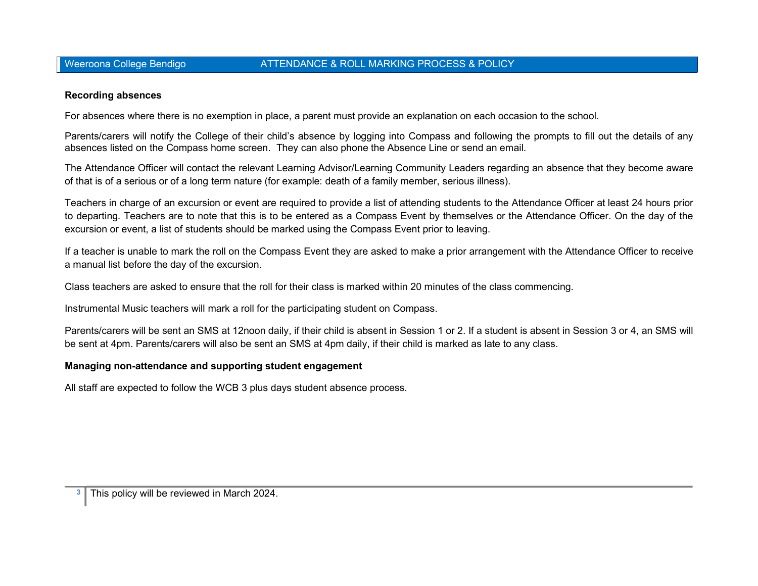# Weeroona College Bendigo **ATTENDANCE & ROLL MARKING PROCESS & POLICY**

### Recording absences

For absences where there is no exemption in place, a parent must provide an explanation on each occasion to the school.

Parents/carers will notify the College of their child's absence by logging into Compass and following the prompts to fill out the details of any absences listed on the Compass home screen. They can also phone the Absence Line or send an email.

The Attendance Officer will contact the relevant Learning Advisor/Learning Community Leaders regarding an absence that they become aware of that is of a serious or of a long term nature (for example: death of a family member, serious illness).

Teachers in charge of an excursion or event are required to provide a list of attending students to the Attendance Officer at least 24 hours prior to departing. Teachers are to note that this is to be entered as a Compass Event by themselves or the Attendance Officer. On the day of the excursion or event, a list of students should be marked using the Compass Event prior to leaving.

If a teacher is unable to mark the roll on the Compass Event they are asked to make a prior arrangement with the Attendance Officer to receive a manual list before the day of the excursion.

Class teachers are asked to ensure that the roll for their class is marked within 20 minutes of the class commencing.

Instrumental Music teachers will mark a roll for the participating student on Compass.

Parents/carers will be sent an SMS at 12noon daily, if their child is absent in Session 1 or 2. If a student is absent in Session 3 or 4, an SMS will be sent at 4pm. Parents/carers will also be sent an SMS at 4pm daily, if their child is marked as late to any class.

### Managing non-attendance and supporting student engagement

All staff are expected to follow the WCB 3 plus days student absence process.